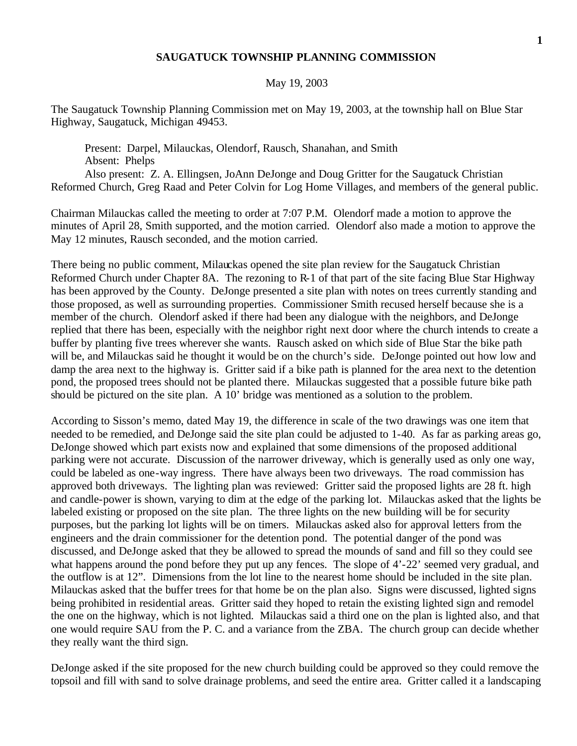## **SAUGATUCK TOWNSHIP PLANNING COMMISSION**

## May 19, 2003

The Saugatuck Township Planning Commission met on May 19, 2003, at the township hall on Blue Star Highway, Saugatuck, Michigan 49453.

Present: Darpel, Milauckas, Olendorf, Rausch, Shanahan, and Smith Absent: Phelps

Also present: Z. A. Ellingsen, JoAnn DeJonge and Doug Gritter for the Saugatuck Christian Reformed Church, Greg Raad and Peter Colvin for Log Home Villages, and members of the general public.

Chairman Milauckas called the meeting to order at 7:07 P.M. Olendorf made a motion to approve the minutes of April 28, Smith supported, and the motion carried. Olendorf also made a motion to approve the May 12 minutes, Rausch seconded, and the motion carried.

There being no public comment, Milauckas opened the site plan review for the Saugatuck Christian Reformed Church under Chapter 8A. The rezoning to R-1 of that part of the site facing Blue Star Highway has been approved by the County. DeJonge presented a site plan with notes on trees currently standing and those proposed, as well as surrounding properties. Commissioner Smith recused herself because she is a member of the church. Olendorf asked if there had been any dialogue with the neighbors, and DeJonge replied that there has been, especially with the neighbor right next door where the church intends to create a buffer by planting five trees wherever she wants. Rausch asked on which side of Blue Star the bike path will be, and Milauckas said he thought it would be on the church's side. DeJonge pointed out how low and damp the area next to the highway is. Gritter said if a bike path is planned for the area next to the detention pond, the proposed trees should not be planted there. Milauckas suggested that a possible future bike path should be pictured on the site plan. A 10' bridge was mentioned as a solution to the problem.

According to Sisson's memo, dated May 19, the difference in scale of the two drawings was one item that needed to be remedied, and DeJonge said the site plan could be adjusted to 1-40. As far as parking areas go, DeJonge showed which part exists now and explained that some dimensions of the proposed additional parking were not accurate. Discussion of the narrower driveway, which is generally used as only one way, could be labeled as one-way ingress. There have always been two driveways. The road commission has approved both driveways. The lighting plan was reviewed: Gritter said the proposed lights are 28 ft. high and candle-power is shown, varying to dim at the edge of the parking lot. Milauckas asked that the lights be labeled existing or proposed on the site plan. The three lights on the new building will be for security purposes, but the parking lot lights will be on timers. Milauckas asked also for approval letters from the engineers and the drain commissioner for the detention pond. The potential danger of the pond was discussed, and DeJonge asked that they be allowed to spread the mounds of sand and fill so they could see what happens around the pond before they put up any fences. The slope of  $4'-22'$  seemed very gradual, and the outflow is at 12". Dimensions from the lot line to the nearest home should be included in the site plan. Milauckas asked that the buffer trees for that home be on the plan also. Signs were discussed, lighted signs being prohibited in residential areas. Gritter said they hoped to retain the existing lighted sign and remodel the one on the highway, which is not lighted. Milauckas said a third one on the plan is lighted also, and that one would require SAU from the P. C. and a variance from the ZBA. The church group can decide whether they really want the third sign.

DeJonge asked if the site proposed for the new church building could be approved so they could remove the topsoil and fill with sand to solve drainage problems, and seed the entire area. Gritter called it a landscaping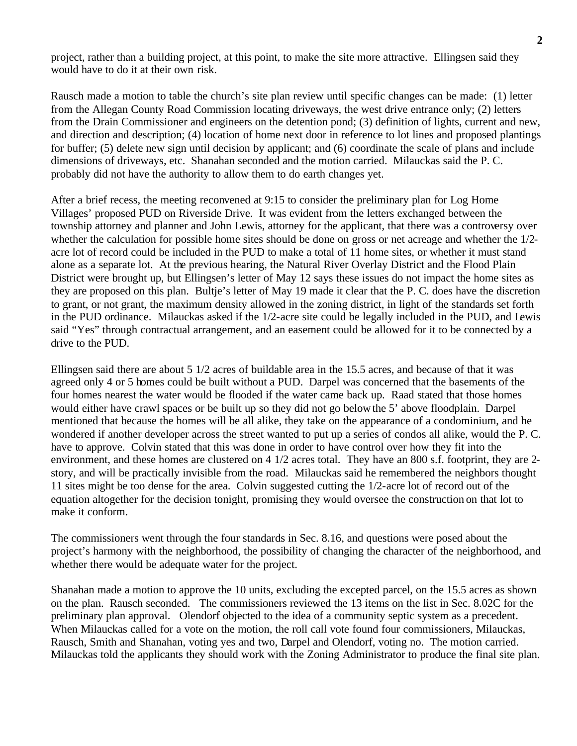project, rather than a building project, at this point, to make the site more attractive. Ellingsen said they would have to do it at their own risk.

Rausch made a motion to table the church's site plan review until specific changes can be made: (1) letter from the Allegan County Road Commission locating driveways, the west drive entrance only; (2) letters from the Drain Commissioner and engineers on the detention pond; (3) definition of lights, current and new, and direction and description; (4) location of home next door in reference to lot lines and proposed plantings for buffer; (5) delete new sign until decision by applicant; and (6) coordinate the scale of plans and include dimensions of driveways, etc. Shanahan seconded and the motion carried. Milauckas said the P. C. probably did not have the authority to allow them to do earth changes yet.

After a brief recess, the meeting reconvened at 9:15 to consider the preliminary plan for Log Home Villages' proposed PUD on Riverside Drive. It was evident from the letters exchanged between the township attorney and planner and John Lewis, attorney for the applicant, that there was a controversy over whether the calculation for possible home sites should be done on gross or net acreage and whether the 1/2 acre lot of record could be included in the PUD to make a total of 11 home sites, or whether it must stand alone as a separate lot. At the previous hearing, the Natural River Overlay District and the Flood Plain District were brought up, but Ellingsen's letter of May 12 says these issues do not impact the home sites as they are proposed on this plan. Bultje's letter of May 19 made it clear that the P. C. does have the discretion to grant, or not grant, the maximum density allowed in the zoning district, in light of the standards set forth in the PUD ordinance. Milauckas asked if the 1/2-acre site could be legally included in the PUD, and Lewis said "Yes" through contractual arrangement, and an easement could be allowed for it to be connected by a drive to the PUD.

Ellingsen said there are about 5 1/2 acres of buildable area in the 15.5 acres, and because of that it was agreed only 4 or 5 homes could be built without a PUD. Darpel was concerned that the basements of the four homes nearest the water would be flooded if the water came back up. Raad stated that those homes would either have crawl spaces or be built up so they did not go below the 5' above floodplain. Darpel mentioned that because the homes will be all alike, they take on the appearance of a condominium, and he wondered if another developer across the street wanted to put up a series of condos all alike, would the P. C. have to approve. Colvin stated that this was done in order to have control over how they fit into the environment, and these homes are clustered on 4 1/2 acres total. They have an 800 s.f. footprint, they are 2 story, and will be practically invisible from the road. Milauckas said he remembered the neighbors thought 11 sites might be too dense for the area. Colvin suggested cutting the 1/2-acre lot of record out of the equation altogether for the decision tonight, promising they would oversee the construction on that lot to make it conform.

The commissioners went through the four standards in Sec. 8.16, and questions were posed about the project's harmony with the neighborhood, the possibility of changing the character of the neighborhood, and whether there would be adequate water for the project.

Shanahan made a motion to approve the 10 units, excluding the excepted parcel, on the 15.5 acres as shown on the plan. Rausch seconded. The commissioners reviewed the 13 items on the list in Sec. 8.02C for the preliminary plan approval. Olendorf objected to the idea of a community septic system as a precedent. When Milauckas called for a vote on the motion, the roll call vote found four commissioners, Milauckas, Rausch, Smith and Shanahan, voting yes and two, Darpel and Olendorf, voting no. The motion carried. Milauckas told the applicants they should work with the Zoning Administrator to produce the final site plan.